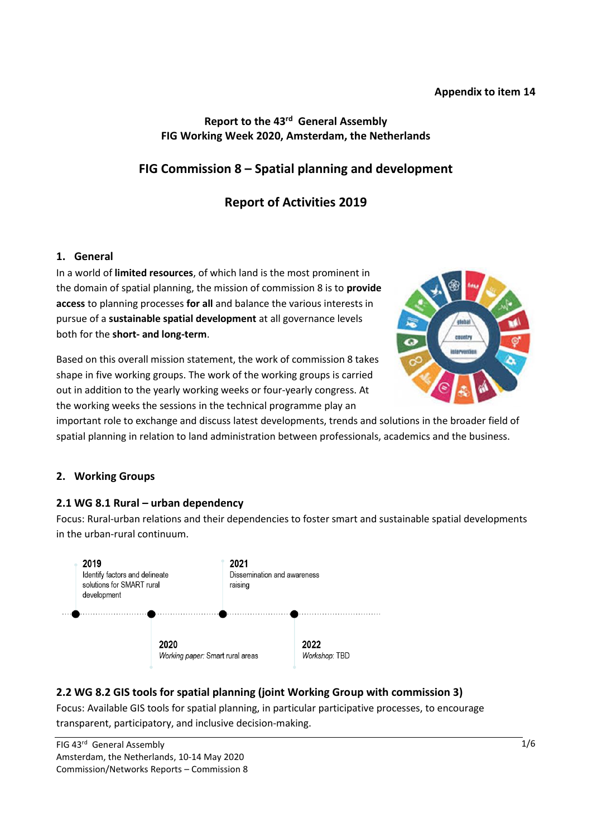#### **Appendix to item 14**

### Report to the 43<sup>rd</sup> General Assembly **FIG Working Week 2020, Amsterdam, the Netherlands**

# **FIG Commission 8 – Spatial planning and development**

# **Report of Activities 2019**

#### **1. General**

In a world of **limited resources**, of which land is the most prominent in the domain of spatial planning, the mission of commission 8 is to **provide access** to planning processes **for all** and balance the various interests in pursue of a **sustainable spatial development** at all governance levels both for the **short- and long-term**.

Based on this overall mission statement, the work of commission 8 takes shape in five working groups. The work of the working groups is carried out in addition to the yearly working weeks or four-yearly congress. At the working weeks the sessions in the technical programme play an



important role to exchange and discuss latest developments, trends and solutions in the broader field of spatial planning in relation to land administration between professionals, academics and the business.

### **2. Working Groups**

### **2.1 WG 8.1 Rural – urban dependency**

Focus: Rural-urban relations and their dependencies to foster smart and sustainable spatial developments in the urban-rural continuum.



### **2.2 WG 8.2 GIS tools for spatial planning (joint Working Group with commission 3)**

Focus: Available GIS tools for spatial planning, in particular participative processes, to encourage transparent, participatory, and inclusive decision-making.

FIG 43<sup>rd</sup> General Assembly Amsterdam, the Netherlands, 10-14 May 2020 Commission/Networks Reports – Commission 8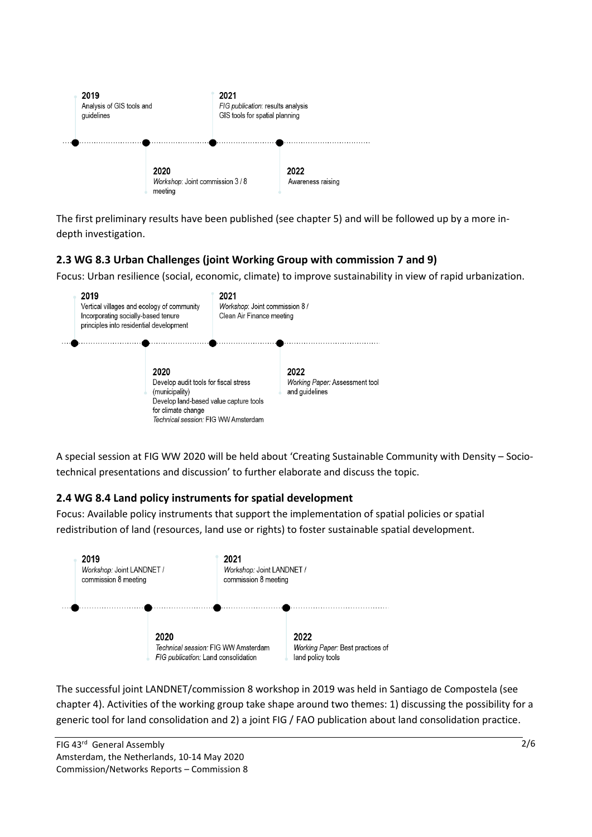

The first preliminary results have been published (see chapter 5) and will be followed up by a more indepth investigation.

## **2.3 WG 8.3 Urban Challenges (joint Working Group with commission 7 and 9)**

Focus: Urban resilience (social, economic, climate) to improve sustainability in view of rapid urbanization.



A special session at FIG WW 2020 will be held about 'Creating Sustainable Community with Density – Sociotechnical presentations and discussion' to further elaborate and discuss the topic.

## **2.4 WG 8.4 Land policy instruments for spatial development**

Focus: Available policy instruments that support the implementation of spatial policies or spatial redistribution of land (resources, land use or rights) to foster sustainable spatial development.



The successful joint LANDNET/commission 8 workshop in 2019 was held in Santiago de Compostela (see chapter 4). Activities of the working group take shape around two themes: 1) discussing the possibility for a generic tool for land consolidation and 2) a joint FIG / FAO publication about land consolidation practice.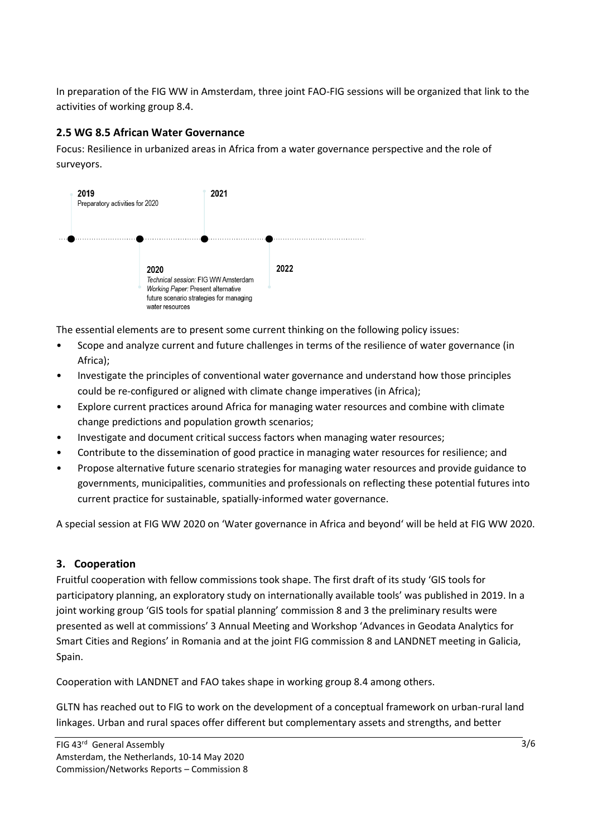In preparation of the FIG WW in Amsterdam, three joint FAO-FIG sessions will be organized that link to the activities of working group 8.4.

## **2.5 WG 8.5 African Water Governance**

Focus: Resilience in urbanized areas in Africa from a water governance perspective and the role of surveyors.



The essential elements are to present some current thinking on the following policy issues:

- Scope and analyze current and future challenges in terms of the resilience of water governance (in Africa);
- Investigate the principles of conventional water governance and understand how those principles could be re-configured or aligned with climate change imperatives (in Africa);
- Explore current practices around Africa for managing water resources and combine with climate change predictions and population growth scenarios;
- Investigate and document critical success factors when managing water resources;
- Contribute to the dissemination of good practice in managing water resources for resilience; and
- Propose alternative future scenario strategies for managing water resources and provide guidance to governments, municipalities, communities and professionals on reflecting these potential futures into current practice for sustainable, spatially-informed water governance.

A special session at FIG WW 2020 on 'Water governance in Africa and beyond' will be held at FIG WW 2020.

## **3. Cooperation**

Fruitful cooperation with fellow commissions took shape. The first draft of its study 'GIS tools for participatory planning, an exploratory study on internationally available tools' was published in 2019. In a joint working group 'GIS tools for spatial planning' commission 8 and 3 the preliminary results were presented as well at commissions' 3 Annual Meeting and Workshop 'Advances in Geodata Analytics for Smart Cities and Regions' in Romania and at the joint FIG commission 8 and LANDNET meeting in Galicia, Spain.

Cooperation with LANDNET and FAO takes shape in working group 8.4 among others.

GLTN has reached out to FIG to work on the development of a conceptual framework on urban-rural land linkages. Urban and rural spaces offer different but complementary assets and strengths, and better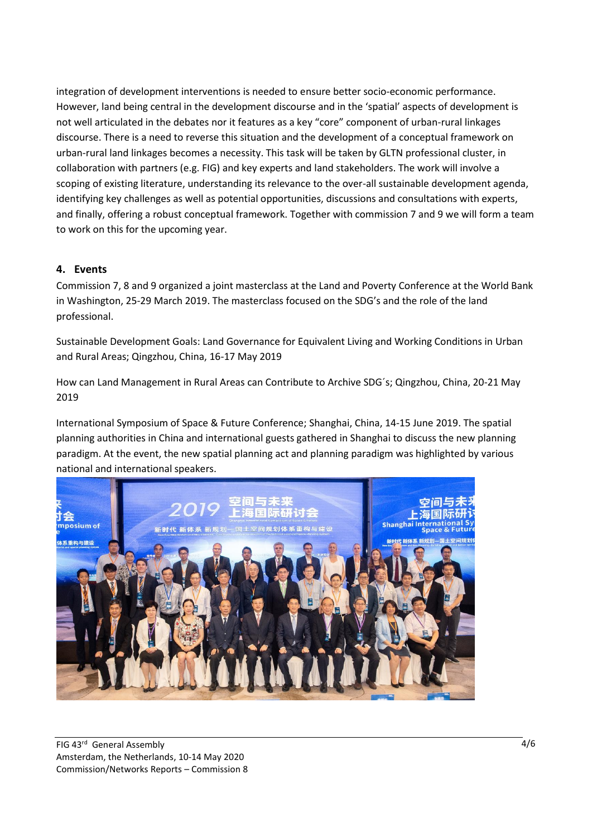integration of development interventions is needed to ensure better socio-economic performance. However, land being central in the development discourse and in the 'spatial' aspects of development is not well articulated in the debates nor it features as a key "core" component of urban-rural linkages discourse. There is a need to reverse this situation and the development of a conceptual framework on urban-rural land linkages becomes a necessity. This task will be taken by GLTN professional cluster, in collaboration with partners (e.g. FIG) and key experts and land stakeholders. The work will involve a scoping of existing literature, understanding its relevance to the over-all sustainable development agenda, identifying key challenges as well as potential opportunities, discussions and consultations with experts, and finally, offering a robust conceptual framework. Together with commission 7 and 9 we will form a team to work on this for the upcoming year.

### **4. Events**

Commission 7, 8 and 9 organized a joint masterclass at the Land and Poverty Conference at the World Bank in Washington, 25-29 March 2019. The masterclass focused on the SDG's and the role of the land professional.

Sustainable Development Goals: Land Governance for Equivalent Living and Working Conditions in Urban and Rural Areas; Qingzhou, China, 16-17 May 2019

How can Land Management in Rural Areas can Contribute to Archive SDG´s; Qingzhou, China, 20-21 May 2019

International Symposium of Space & Future Conference; Shanghai, China, 14-15 June 2019. The spatial planning authorities in China and international guests gathered in Shanghai to discuss the new planning paradigm. At the event, the new spatial planning act and planning paradigm was highlighted by various national and international speakers.

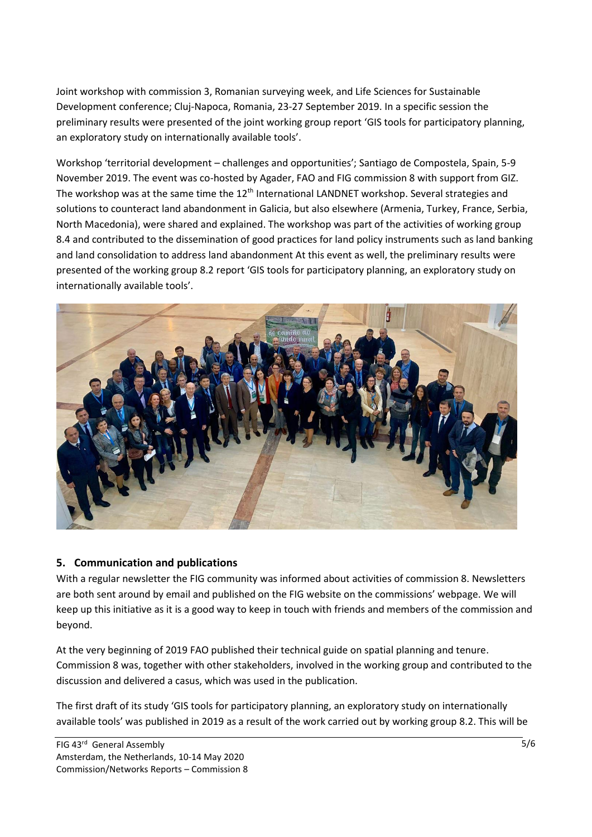Joint workshop with commission 3, Romanian surveying week, and Life Sciences for Sustainable Development conference; Cluj-Napoca, Romania, 23-27 September 2019. In a specific session the preliminary results were presented of the joint working group report 'GIS tools for participatory planning, an exploratory study on internationally available tools'.

Workshop 'territorial development – challenges and opportunities'; Santiago de Compostela, Spain, 5-9 November 2019. The event was co-hosted by Agader, FAO and FIG commission 8 with support from GIZ. The workshop was at the same time the 12<sup>th</sup> International LANDNET workshop. Several strategies and solutions to counteract land abandonment in Galicia, but also elsewhere (Armenia, Turkey, France, Serbia, North Macedonia), were shared and explained. The workshop was part of the activities of working group 8.4 and contributed to the dissemination of good practices for land policy instruments such as land banking and land consolidation to address land abandonment At this event as well, the preliminary results were presented of the working group 8.2 report 'GIS tools for participatory planning, an exploratory study on internationally available tools'.



### **5. Communication and publications**

With a regular newsletter the FIG community was informed about activities of commission 8. Newsletters are both sent around by email and published on the FIG website on the commissions' webpage. We will keep up this initiative as it is a good way to keep in touch with friends and members of the commission and beyond.

At the very beginning of 2019 FAO published their technical guide on spatial planning and tenure. Commission 8 was, together with other stakeholders, involved in the working group and contributed to the discussion and delivered a casus, which was used in the publication.

The first draft of its study 'GIS tools for participatory planning, an exploratory study on internationally available tools' was published in 2019 as a result of the work carried out by working group 8.2. This will be